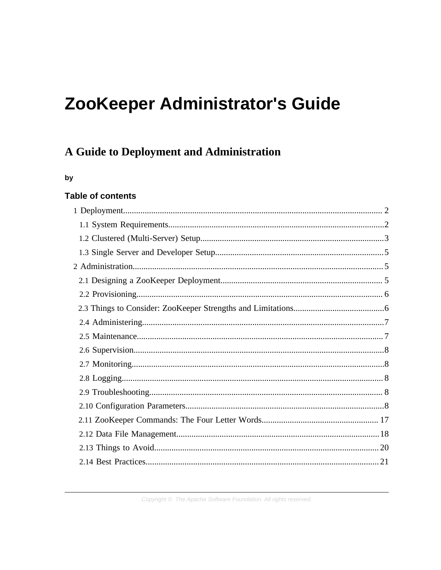# ZooKeeper Administrator's Guide

# A Guide to Deployment and Administration

#### by

# **Table of contents**

Copyright © The Apache Software Foundation. All rights reserved.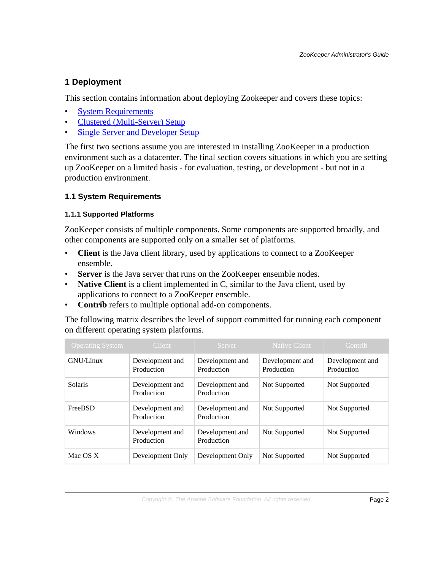# <span id="page-1-0"></span>**1 Deployment**

This section contains information about deploying Zookeeper and covers these topics:

- **[System Requirements](#page-1-1)**
- [Clustered \(Multi-Server\) Setup](#page-2-0)
- **[Single Server and Developer Setup](#page-4-0)**

The first two sections assume you are interested in installing ZooKeeper in a production environment such as a datacenter. The final section covers situations in which you are setting up ZooKeeper on a limited basis - for evaluation, testing, or development - but not in a production environment.

# <span id="page-1-1"></span>**1.1 System Requirements**

# **1.1.1 Supported Platforms**

ZooKeeper consists of multiple components. Some components are supported broadly, and other components are supported only on a smaller set of platforms.

- **Client** is the Java client library, used by applications to connect to a ZooKeeper ensemble.
- **Server** is the Java server that runs on the ZooKeeper ensemble nodes.
- **Native Client** is a client implemented in C, similar to the Java client, used by applications to connect to a ZooKeeper ensemble.
- **Contrib** refers to multiple optional add-on components.

The following matrix describes the level of support committed for running each component on different operating system platforms.

| <b>Operating System</b> | <b>Client</b>                 | Server                        | Native Client                 | Contrib                       |
|-------------------------|-------------------------------|-------------------------------|-------------------------------|-------------------------------|
| GNU/Linux               | Development and<br>Production | Development and<br>Production | Development and<br>Production | Development and<br>Production |
| Solaris                 | Development and<br>Production | Development and<br>Production | Not Supported                 | Not Supported                 |
| FreeBSD                 | Development and<br>Production | Development and<br>Production | Not Supported                 | Not Supported                 |
| Windows                 | Development and<br>Production | Development and<br>Production | Not Supported                 | Not Supported                 |
| Mac OS X                | Development Only              | Development Only              | Not Supported                 | Not Supported                 |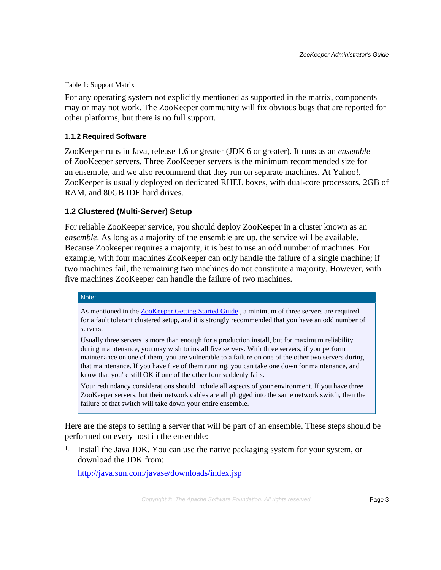#### Table 1: Support Matrix

For any operating system not explicitly mentioned as supported in the matrix, components may or may not work. The ZooKeeper community will fix obvious bugs that are reported for other platforms, but there is no full support.

#### **1.1.2 Required Software**

ZooKeeper runs in Java, release 1.6 or greater (JDK 6 or greater). It runs as an *ensemble* of ZooKeeper servers. Three ZooKeeper servers is the minimum recommended size for an ensemble, and we also recommend that they run on separate machines. At Yahoo!, ZooKeeper is usually deployed on dedicated RHEL boxes, with dual-core processors, 2GB of RAM, and 80GB IDE hard drives.

#### <span id="page-2-0"></span>**1.2 Clustered (Multi-Server) Setup**

For reliable ZooKeeper service, you should deploy ZooKeeper in a cluster known as an *ensemble*. As long as a majority of the ensemble are up, the service will be available. Because Zookeeper requires a majority, it is best to use an odd number of machines. For example, with four machines ZooKeeper can only handle the failure of a single machine; if two machines fail, the remaining two machines do not constitute a majority. However, with five machines ZooKeeper can handle the failure of two machines.

#### Note:

As mentioned in the [ZooKeeper Getting Started Guide](zookeeperStarted.html) , a minimum of three servers are required for a fault tolerant clustered setup, and it is strongly recommended that you have an odd number of servers.

Usually three servers is more than enough for a production install, but for maximum reliability during maintenance, you may wish to install five servers. With three servers, if you perform maintenance on one of them, you are vulnerable to a failure on one of the other two servers during that maintenance. If you have five of them running, you can take one down for maintenance, and know that you're still OK if one of the other four suddenly fails.

Your redundancy considerations should include all aspects of your environment. If you have three ZooKeeper servers, but their network cables are all plugged into the same network switch, then the failure of that switch will take down your entire ensemble.

Here are the steps to setting a server that will be part of an ensemble. These steps should be performed on every host in the ensemble:

1. Install the Java JDK. You can use the native packaging system for your system, or download the JDK from:

<http://java.sun.com/javase/downloads/index.jsp>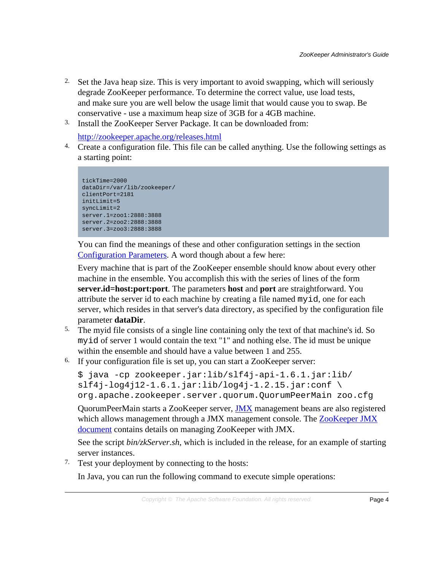- <sup>2.</sup> Set the Java heap size. This is very important to avoid swapping, which will seriously degrade ZooKeeper performance. To determine the correct value, use load tests, and make sure you are well below the usage limit that would cause you to swap. Be conservative - use a maximum heap size of 3GB for a 4GB machine.
- 3. Install the ZooKeeper Server Package. It can be downloaded from:

<http://zookeeper.apache.org/releases.html>

4. Create a configuration file. This file can be called anything. Use the following settings as a starting point:

```
tickTime=2000
dataDir=/var/lib/zookeeper/
clientPort=2181
initLimit=5
syncLimit=2
server.1=zoo1:2888:3888
server.2=zoo2:2888:3888
server.3=zoo3:2888:3888
```
You can find the meanings of these and other configuration settings in the section [Configuration Parameters.](#page-7-4) A word though about a few here:

Every machine that is part of the ZooKeeper ensemble should know about every other machine in the ensemble. You accomplish this with the series of lines of the form **server.id=host:port:port**. The parameters **host** and **port** are straightforward. You attribute the server id to each machine by creating a file named myid, one for each server, which resides in that server's data directory, as specified by the configuration file parameter **dataDir**.

- 5. The myid file consists of a single line containing only the text of that machine's id. So myid of server 1 would contain the text "1" and nothing else. The id must be unique within the ensemble and should have a value between 1 and 255.
- 6. If your configuration file is set up, you can start a ZooKeeper server:

```
$ java -cp zookeeper.jar:lib/slf4j-api-1.6.1.jar:lib/
slf4j-log4j12-1.6.1.jar:lib/log4j-1.2.15.jar:conf \norg.apache.zookeeper.server.quorum.QuorumPeerMain zoo.cfg
```
QuorumPeerMain starts a ZooKeeper server, [JMX](http://java.sun.com/javase/technologies/core/mntr-mgmt/javamanagement/) management beans are also registered which allows management through a JMX management console. The [ZooKeeper JMX](zookeeperJMX.html) [document](zookeeperJMX.html) contains details on managing ZooKeeper with JMX.

See the script *bin/zkServer.sh*, which is included in the release, for an example of starting server instances.

7. Test your deployment by connecting to the hosts:

In Java, you can run the following command to execute simple operations: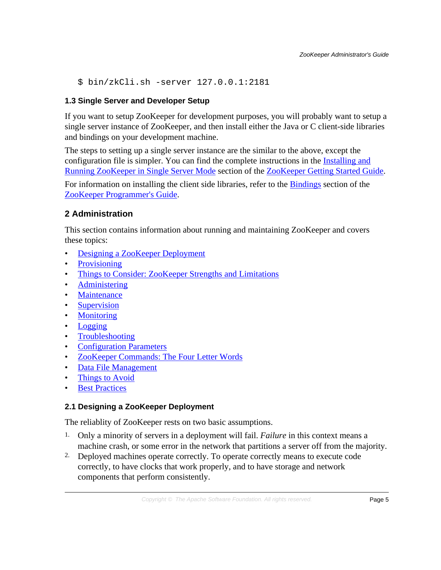\$ bin/zkCli.sh -server 127.0.0.1:2181

# <span id="page-4-0"></span>**1.3 Single Server and Developer Setup**

If you want to setup ZooKeeper for development purposes, you will probably want to setup a single server instance of ZooKeeper, and then install either the Java or C client-side libraries and bindings on your development machine.

The steps to setting up a single server instance are the similar to the above, except the configuration file is simpler. You can find the complete instructions in the [Installing and](zookeeperStarted.html#sc_InstallingSingleMode) [Running ZooKeeper in Single Server Mode](zookeeperStarted.html#sc_InstallingSingleMode) section of the [ZooKeeper Getting Started Guide.](zookeeperStarted.html)

For information on installing the client side libraries, refer to the **Bindings** section of the [ZooKeeper Programmer's Guide](zookeeperProgrammers.html).

# <span id="page-4-1"></span>**2 Administration**

This section contains information about running and maintaining ZooKeeper and covers these topics:

- [Designing a ZooKeeper Deployment](#page-4-2)
- [Provisioning](#page-5-0)
- [Things to Consider: ZooKeeper Strengths and Limitations](#page-5-1)
- [Administering](#page-6-0)
- [Maintenance](#page-6-1)
- [Supervision](#page-7-0)
- [Monitoring](#page-7-1)
- [Logging](#page-7-2)
- [Troubleshooting](#page-7-3)
- [Configuration Parameters](#page-7-4)
- [ZooKeeper Commands: The Four Letter Words](#page-16-0)
- [Data File Management](#page-17-0)
- [Things to Avoid](#page-19-0)
- **[Best Practices](#page-20-0)**

# <span id="page-4-2"></span>**2.1 Designing a ZooKeeper Deployment**

The reliablity of ZooKeeper rests on two basic assumptions.

- 1. Only a minority of servers in a deployment will fail. *Failure* in this context means a machine crash, or some error in the network that partitions a server off from the majority.
- 2. Deployed machines operate correctly. To operate correctly means to execute code correctly, to have clocks that work properly, and to have storage and network components that perform consistently.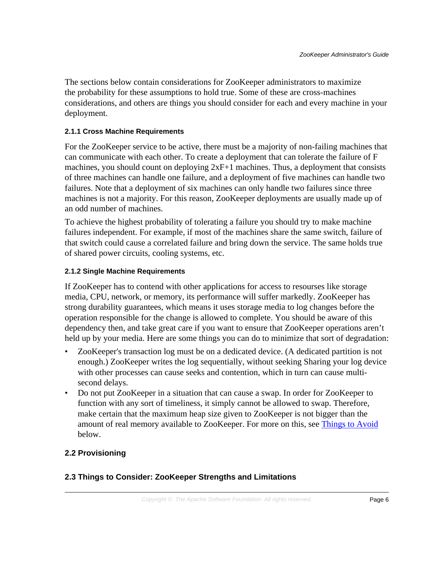The sections below contain considerations for ZooKeeper administrators to maximize the probability for these assumptions to hold true. Some of these are cross-machines considerations, and others are things you should consider for each and every machine in your deployment.

#### **2.1.1 Cross Machine Requirements**

For the ZooKeeper service to be active, there must be a majority of non-failing machines that can communicate with each other. To create a deployment that can tolerate the failure of F machines, you should count on deploying 2xF+1 machines. Thus, a deployment that consists of three machines can handle one failure, and a deployment of five machines can handle two failures. Note that a deployment of six machines can only handle two failures since three machines is not a majority. For this reason, ZooKeeper deployments are usually made up of an odd number of machines.

To achieve the highest probability of tolerating a failure you should try to make machine failures independent. For example, if most of the machines share the same switch, failure of that switch could cause a correlated failure and bring down the service. The same holds true of shared power circuits, cooling systems, etc.

#### **2.1.2 Single Machine Requirements**

If ZooKeeper has to contend with other applications for access to resourses like storage media, CPU, network, or memory, its performance will suffer markedly. ZooKeeper has strong durability guarantees, which means it uses storage media to log changes before the operation responsible for the change is allowed to complete. You should be aware of this dependency then, and take great care if you want to ensure that ZooKeeper operations aren't held up by your media. Here are some things you can do to minimize that sort of degradation:

- ZooKeeper's transaction log must be on a dedicated device. (A dedicated partition is not enough.) ZooKeeper writes the log sequentially, without seeking Sharing your log device with other processes can cause seeks and contention, which in turn can cause multisecond delays.
- Do not put ZooKeeper in a situation that can cause a swap. In order for ZooKeeper to function with any sort of timeliness, it simply cannot be allowed to swap. Therefore, make certain that the maximum heap size given to ZooKeeper is not bigger than the amount of real memory available to ZooKeeper. For more on this, see [Things to Avoid](#page-19-0) below.

# <span id="page-5-0"></span>**2.2 Provisioning**

#### <span id="page-5-1"></span>**2.3 Things to Consider: ZooKeeper Strengths and Limitations**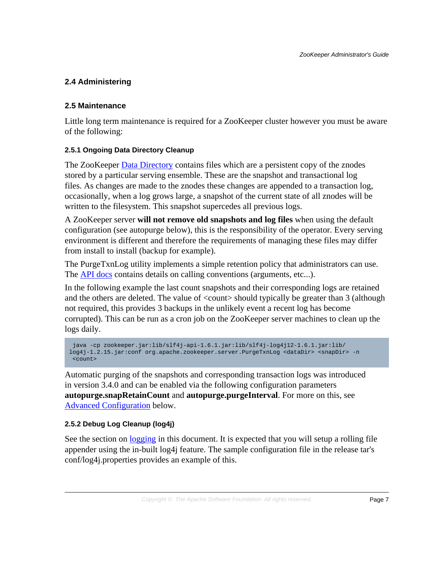# <span id="page-6-0"></span>**2.4 Administering**

# <span id="page-6-1"></span>**2.5 Maintenance**

Little long term maintenance is required for a ZooKeeper cluster however you must be aware of the following:

# **2.5.1 Ongoing Data Directory Cleanup**

The ZooKeeper Data Directory contains files which are a persistent copy of the znodes stored by a particular serving ensemble. These are the snapshot and transactional log files. As changes are made to the znodes these changes are appended to a transaction log, occasionally, when a log grows large, a snapshot of the current state of all znodes will be written to the filesystem. This snapshot supercedes all previous logs.

A ZooKeeper server **will not remove old snapshots and log files** when using the default configuration (see autopurge below), this is the responsibility of the operator. Every serving environment is different and therefore the requirements of managing these files may differ from install to install (backup for example).

The PurgeTxnLog utility implements a simple retention policy that administrators can use. The [API docs](api/index.html) contains details on calling conventions (arguments, etc...).

In the following example the last count snapshots and their corresponding logs are retained and the others are deleted. The value of <count> should typically be greater than 3 (although not required, this provides 3 backups in the unlikely event a recent log has become corrupted). This can be run as a cron job on the ZooKeeper server machines to clean up the logs daily.

```
 java -cp zookeeper.jar:lib/slf4j-api-1.6.1.jar:lib/slf4j-log4j12-1.6.1.jar:lib/
log4j-1.2.15.jar:conf org.apache.zookeeper.server.PurgeTxnLog <dataDir> <snapDir> -n
  <count>
```
Automatic purging of the snapshots and corresponding transaction logs was introduced in version 3.4.0 and can be enabled via the following configuration parameters **autopurge.snapRetainCount** and **autopurge.purgeInterval**. For more on this, see [Advanced Configuration](#page-8-0) below.

#### **2.5.2 Debug Log Cleanup (log4j)**

See the section on <u>logging</u> in this document. It is expected that you will setup a rolling file appender using the in-built log4j feature. The sample configuration file in the release tar's conf/log4j.properties provides an example of this.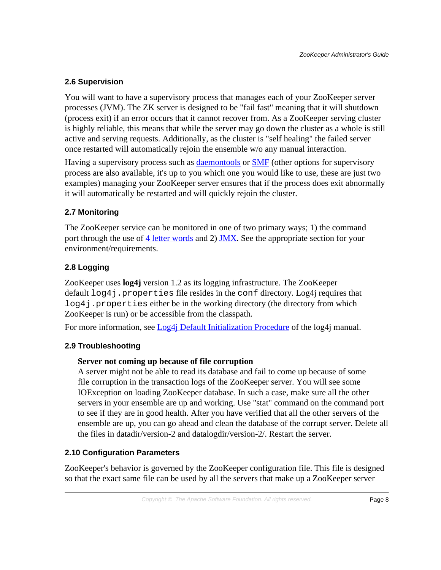# <span id="page-7-0"></span>**2.6 Supervision**

You will want to have a supervisory process that manages each of your ZooKeeper server processes (JVM). The ZK server is designed to be "fail fast" meaning that it will shutdown (process exit) if an error occurs that it cannot recover from. As a ZooKeeper serving cluster is highly reliable, this means that while the server may go down the cluster as a whole is still active and serving requests. Additionally, as the cluster is "self healing" the failed server once restarted will automatically rejoin the ensemble w/o any manual interaction.

Having a supervisory process such as [daemontools](http://cr.yp.to/daemontools.html) or **SMF** (other options for supervisory process are also available, it's up to you which one you would like to use, these are just two examples) managing your ZooKeeper server ensures that if the process does exit abnormally it will automatically be restarted and will quickly rejoin the cluster.

# <span id="page-7-1"></span>**2.7 Monitoring**

The ZooKeeper service can be monitored in one of two primary ways; 1) the command port through the use of [4 letter words](#page-16-0) and 2) [JMX.](zookeeperJMX.html) See the appropriate section for your environment/requirements.

# <span id="page-7-2"></span>**2.8 Logging**

ZooKeeper uses **log4j** version 1.2 as its logging infrastructure. The ZooKeeper default log4j.properties file resides in the conf directory. Log4j requires that log4j.properties either be in the working directory (the directory from which ZooKeeper is run) or be accessible from the classpath.

For more information, see [Log4j Default Initialization Procedure](http://logging.apache.org/log4j/1.2/manual.html#defaultInit) of the log4j manual.

# <span id="page-7-3"></span>**2.9 Troubleshooting**

# **Server not coming up because of file corruption**

A server might not be able to read its database and fail to come up because of some file corruption in the transaction logs of the ZooKeeper server. You will see some IOException on loading ZooKeeper database. In such a case, make sure all the other servers in your ensemble are up and working. Use "stat" command on the command port to see if they are in good health. After you have verified that all the other servers of the ensemble are up, you can go ahead and clean the database of the corrupt server. Delete all the files in datadir/version-2 and datalogdir/version-2/. Restart the server.

# <span id="page-7-4"></span>**2.10 Configuration Parameters**

ZooKeeper's behavior is governed by the ZooKeeper configuration file. This file is designed so that the exact same file can be used by all the servers that make up a ZooKeeper server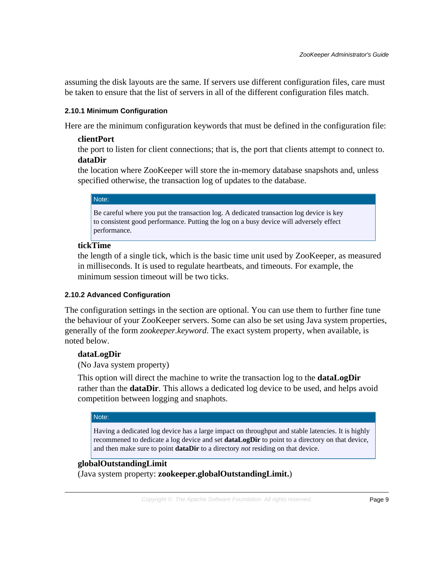assuming the disk layouts are the same. If servers use different configuration files, care must be taken to ensure that the list of servers in all of the different configuration files match.

# **2.10.1 Minimum Configuration**

Here are the minimum configuration keywords that must be defined in the configuration file:

# **clientPort**

the port to listen for client connections; that is, the port that clients attempt to connect to. **dataDir**

the location where ZooKeeper will store the in-memory database snapshots and, unless specified otherwise, the transaction log of updates to the database.

#### Note:

Be careful where you put the transaction log. A dedicated transaction log device is key to consistent good performance. Putting the log on a busy device will adversely effect performance.

# **tickTime**

the length of a single tick, which is the basic time unit used by ZooKeeper, as measured in milliseconds. It is used to regulate heartbeats, and timeouts. For example, the minimum session timeout will be two ticks.

#### <span id="page-8-0"></span>**2.10.2 Advanced Configuration**

The configuration settings in the section are optional. You can use them to further fine tune the behaviour of your ZooKeeper servers. Some can also be set using Java system properties, generally of the form *zookeeper.keyword*. The exact system property, when available, is noted below.

# **dataLogDir**

(No Java system property)

This option will direct the machine to write the transaction log to the **dataLogDir** rather than the **dataDir**. This allows a dedicated log device to be used, and helps avoid competition between logging and snaphots.

#### Note:

Having a dedicated log device has a large impact on throughput and stable latencies. It is highly recommened to dedicate a log device and set **dataLogDir** to point to a directory on that device, and then make sure to point **dataDir** to a directory *not* residing on that device.

#### **globalOutstandingLimit**

(Java system property: **zookeeper.globalOutstandingLimit.**)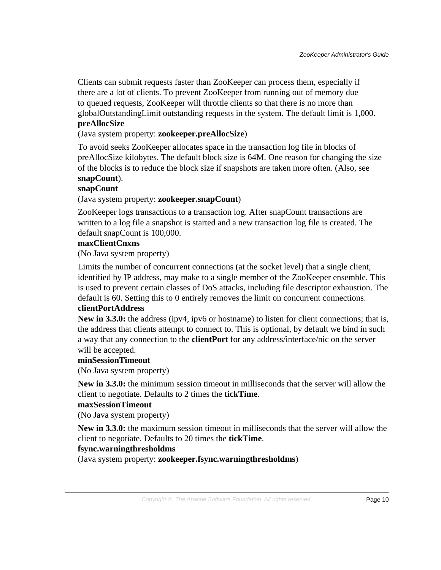Clients can submit requests faster than ZooKeeper can process them, especially if there are a lot of clients. To prevent ZooKeeper from running out of memory due to queued requests, ZooKeeper will throttle clients so that there is no more than globalOutstandingLimit outstanding requests in the system. The default limit is 1,000. **preAllocSize**

# (Java system property: **zookeeper.preAllocSize**)

To avoid seeks ZooKeeper allocates space in the transaction log file in blocks of preAllocSize kilobytes. The default block size is 64M. One reason for changing the size of the blocks is to reduce the block size if snapshots are taken more often. (Also, see **snapCount**).

#### **snapCount**

#### (Java system property: **zookeeper.snapCount**)

ZooKeeper logs transactions to a transaction log. After snapCount transactions are written to a log file a snapshot is started and a new transaction log file is created. The default snapCount is 100,000.

# **maxClientCnxns**

(No Java system property)

Limits the number of concurrent connections (at the socket level) that a single client, identified by IP address, may make to a single member of the ZooKeeper ensemble. This is used to prevent certain classes of DoS attacks, including file descriptor exhaustion. The default is 60. Setting this to 0 entirely removes the limit on concurrent connections.

# **clientPortAddress**

**New in 3.3.0:** the address (ipv4, ipv6 or hostname) to listen for client connections; that is, the address that clients attempt to connect to. This is optional, by default we bind in such a way that any connection to the **clientPort** for any address/interface/nic on the server will be accepted.

#### **minSessionTimeout**

(No Java system property)

**New in 3.3.0:** the minimum session timeout in milliseconds that the server will allow the client to negotiate. Defaults to 2 times the **tickTime**.

#### **maxSessionTimeout**

(No Java system property)

**New in 3.3.0:** the maximum session timeout in milliseconds that the server will allow the client to negotiate. Defaults to 20 times the **tickTime**.

#### **fsync.warningthresholdms**

(Java system property: **zookeeper.fsync.warningthresholdms**)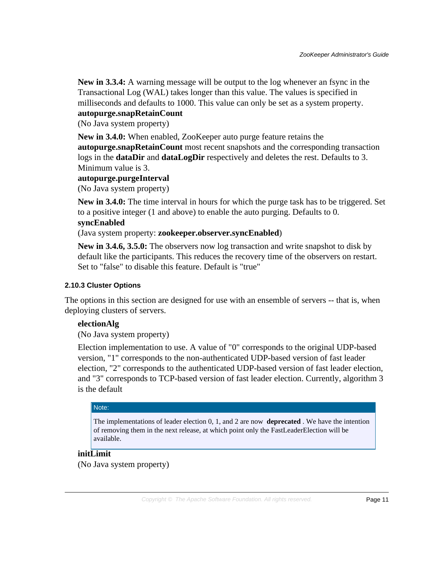**New in 3.3.4:** A warning message will be output to the log whenever an fsync in the Transactional Log (WAL) takes longer than this value. The values is specified in milliseconds and defaults to 1000. This value can only be set as a system property.

# **autopurge.snapRetainCount**

(No Java system property)

**New in 3.4.0:** When enabled, ZooKeeper auto purge feature retains the

**autopurge.snapRetainCount** most recent snapshots and the corresponding transaction logs in the **dataDir** and **dataLogDir** respectively and deletes the rest. Defaults to 3. Minimum value is 3.

#### **autopurge.purgeInterval**

(No Java system property)

**New in 3.4.0:** The time interval in hours for which the purge task has to be triggered. Set to a positive integer (1 and above) to enable the auto purging. Defaults to 0.

#### **syncEnabled**

(Java system property: **zookeeper.observer.syncEnabled**)

**New in 3.4.6, 3.5.0:** The observers now log transaction and write snapshot to disk by default like the participants. This reduces the recovery time of the observers on restart. Set to "false" to disable this feature. Default is "true"

#### **2.10.3 Cluster Options**

The options in this section are designed for use with an ensemble of servers -- that is, when deploying clusters of servers.

#### **electionAlg**

(No Java system property)

Election implementation to use. A value of "0" corresponds to the original UDP-based version, "1" corresponds to the non-authenticated UDP-based version of fast leader election, "2" corresponds to the authenticated UDP-based version of fast leader election, and "3" corresponds to TCP-based version of fast leader election. Currently, algorithm 3 is the default

#### Note:

The implementations of leader election 0, 1, and 2 are now **deprecated** . We have the intention of removing them in the next release, at which point only the FastLeaderElection will be available.

#### **initLimit**

(No Java system property)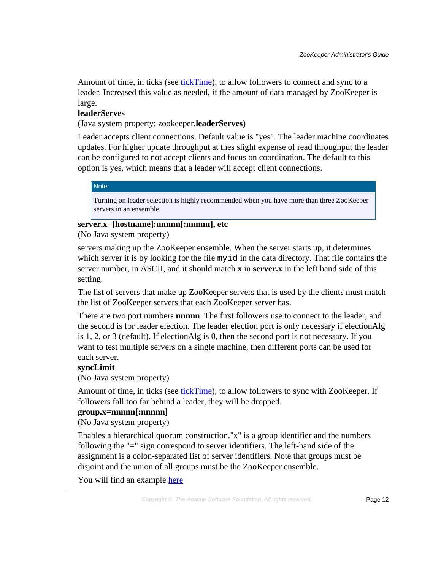Amount of time, in ticks (see tickTime), to allow followers to connect and sync to a leader. Increased this value as needed, if the amount of data managed by ZooKeeper is large.

#### **leaderServes**

(Java system property: zookeeper.**leaderServes**)

Leader accepts client connections. Default value is "yes". The leader machine coordinates updates. For higher update throughput at thes slight expense of read throughput the leader can be configured to not accept clients and focus on coordination. The default to this option is yes, which means that a leader will accept client connections.

#### Note:

Turning on leader selection is highly recommended when you have more than three ZooKeeper servers in an ensemble.

# **server.x=[hostname]:nnnnn[:nnnnn], etc**

(No Java system property)

servers making up the ZooKeeper ensemble. When the server starts up, it determines which server it is by looking for the file myid in the data directory. That file contains the server number, in ASCII, and it should match **x** in **server.x** in the left hand side of this setting.

The list of servers that make up ZooKeeper servers that is used by the clients must match the list of ZooKeeper servers that each ZooKeeper server has.

There are two port numbers **nnnnn**. The first followers use to connect to the leader, and the second is for leader election. The leader election port is only necessary if electionAlg is 1, 2, or 3 (default). If electionAlg is 0, then the second port is not necessary. If you want to test multiple servers on a single machine, then different ports can be used for each server.

#### **syncLimit**

(No Java system property)

Amount of time, in ticks (see tickTime), to allow followers to sync with ZooKeeper. If followers fall too far behind a leader, they will be dropped.

#### **group.x=nnnnn[:nnnnn]**

(No Java system property)

Enables a hierarchical quorum construction."x" is a group identifier and the numbers following the "=" sign correspond to server identifiers. The left-hand side of the assignment is a colon-separated list of server identifiers. Note that groups must be disjoint and the union of all groups must be the ZooKeeper ensemble.

You will find an example [here](zookeeperHierarchicalQuorums.html)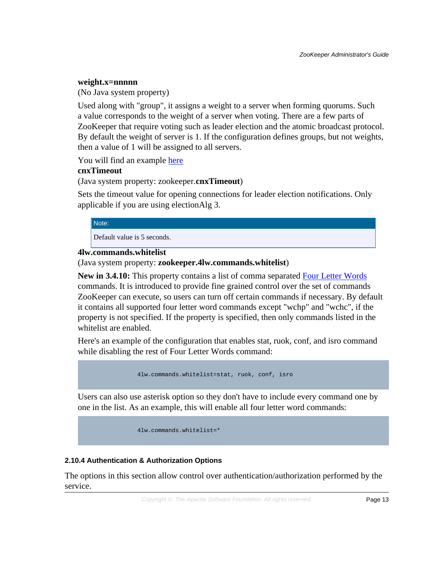#### **weight.x=nnnnn**

(No Java system property)

Used along with "group", it assigns a weight to a server when forming quorums. Such a value corresponds to the weight of a server when voting. There are a few parts of ZooKeeper that require voting such as leader election and the atomic broadcast protocol. By default the weight of server is 1. If the configuration defines groups, but not weights, then a value of 1 will be assigned to all servers.

You will find an example [here](zookeeperHierarchicalQuorums.html)

#### **cnxTimeout**

(Java system property: zookeeper.**cnxTimeout**)

Sets the timeout value for opening connections for leader election notifications. Only applicable if you are using electionAlg 3.

#### Note:

Default value is 5 seconds.

# **4lw.commands.whitelist**

(Java system property: **zookeeper.4lw.commands.whitelist**)

**New in 3.4.10:** This property contains a list of comma separated **Four Letter Words** commands. It is introduced to provide fine grained control over the set of commands ZooKeeper can execute, so users can turn off certain commands if necessary. By default it contains all supported four letter word commands except "wchp" and "wchc", if the property is not specified. If the property is specified, then only commands listed in the whitelist are enabled.

Here's an example of the configuration that enables stat, ruok, conf, and isro command while disabling the rest of Four Letter Words command:

4lw.commands.whitelist=stat, ruok, conf, isro

Users can also use asterisk option so they don't have to include every command one by one in the list. As an example, this will enable all four letter word commands:

4lw.commands.whitelist=\*

#### **2.10.4 Authentication & Authorization Options**

The options in this section allow control over authentication/authorization performed by the service.

Copyright © The Apache Software Foundation. All rights reserved. Page 13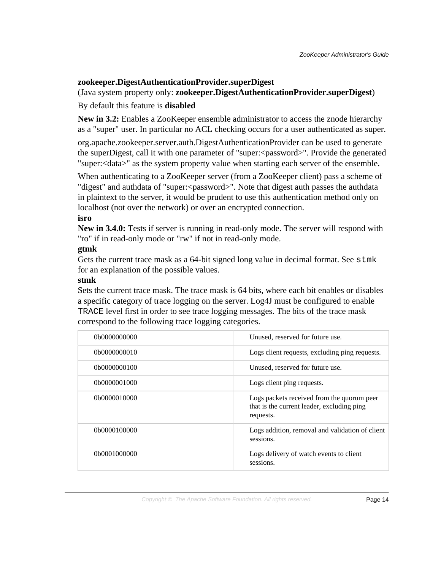# **zookeeper.DigestAuthenticationProvider.superDigest**

# (Java system property only: **zookeeper.DigestAuthenticationProvider.superDigest**)

# By default this feature is **disabled**

**New in 3.2:** Enables a ZooKeeper ensemble administrator to access the znode hierarchy as a "super" user. In particular no ACL checking occurs for a user authenticated as super.

org.apache.zookeeper.server.auth.DigestAuthenticationProvider can be used to generate the superDigest, call it with one parameter of "super:<password>". Provide the generated "super:<data>" as the system property value when starting each server of the ensemble.

When authenticating to a ZooKeeper server (from a ZooKeeper client) pass a scheme of "digest" and authdata of "super:<password>". Note that digest auth passes the authdata in plaintext to the server, it would be prudent to use this authentication method only on localhost (not over the network) or over an encrypted connection.

# **isro**

**New in 3.4.0:** Tests if server is running in read-only mode. The server will respond with "ro" if in read-only mode or "rw" if not in read-only mode.

# **gtmk**

Gets the current trace mask as a 64-bit signed long value in decimal format. See stmk for an explanation of the possible values.

# **stmk**

Sets the current trace mask. The trace mask is 64 bits, where each bit enables or disables a specific category of trace logging on the server. Log4J must be configured to enable TRACE level first in order to see trace logging messages. The bits of the trace mask correspond to the following trace logging categories.

| 0b0000000000 | Unused, reserved for future use.                                                                      |
|--------------|-------------------------------------------------------------------------------------------------------|
| 0b0000000010 | Logs client requests, excluding ping requests.                                                        |
| 0b0000000100 | Unused, reserved for future use.                                                                      |
| 0b0000001000 | Logs client ping requests.                                                                            |
| 0b0000010000 | Logs packets received from the quorum peer<br>that is the current leader, excluding ping<br>requests. |
| 0b0000100000 | Logs addition, removal and validation of client<br>sessions.                                          |
| 0b0001000000 | Logs delivery of watch events to client<br>sessions.                                                  |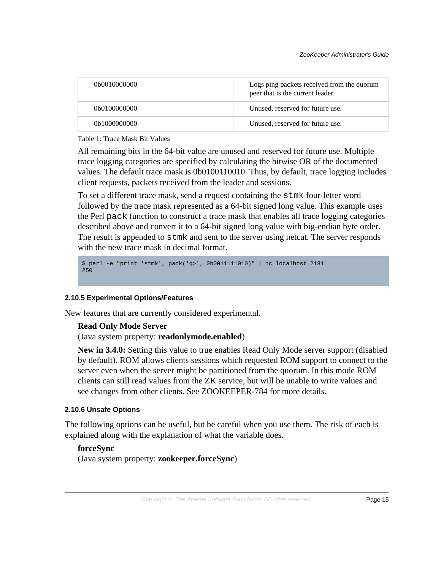| 0b0010000000 | Logs ping packets received from the quorum<br>peer that is the current leader. |
|--------------|--------------------------------------------------------------------------------|
| 0b0100000000 | Unused, reserved for future use.                                               |
| 0b1000000000 | Unused, reserved for future use.                                               |

#### Table 1: Trace Mask Bit Values

All remaining bits in the 64-bit value are unused and reserved for future use. Multiple trace logging categories are specified by calculating the bitwise OR of the documented values. The default trace mask is 0b0100110010. Thus, by default, trace logging includes client requests, packets received from the leader and sessions.

To set a different trace mask, send a request containing the stmk four-letter word followed by the trace mask represented as a 64-bit signed long value. This example uses the Perl pack function to construct a trace mask that enables all trace logging categories described above and convert it to a 64-bit signed long value with big-endian byte order. The result is appended to stmk and sent to the server using netcat. The server responds with the new trace mask in decimal format.

```
$ perl -e "print 'stmk', pack('q>', 0b0011111010)" | nc localhost 2181
250
```
#### **2.10.5 Experimental Options/Features**

New features that are currently considered experimental.

#### **Read Only Mode Server**

(Java system property: **readonlymode.enabled**)

**New in 3.4.0:** Setting this value to true enables Read Only Mode server support (disabled by default). ROM allows clients sessions which requested ROM support to connect to the server even when the server might be partitioned from the quorum. In this mode ROM clients can still read values from the ZK service, but will be unable to write values and see changes from other clients. See ZOOKEEPER-784 for more details.

#### **2.10.6 Unsafe Options**

The following options can be useful, but be careful when you use them. The risk of each is explained along with the explanation of what the variable does.

#### **forceSync**

(Java system property: **zookeeper.forceSync**)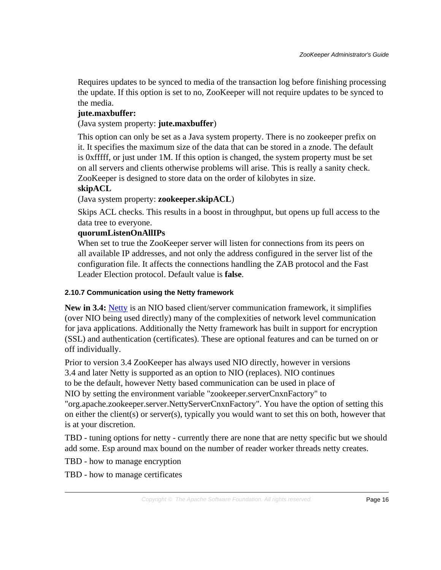Requires updates to be synced to media of the transaction log before finishing processing the update. If this option is set to no, ZooKeeper will not require updates to be synced to the media.

# **jute.maxbuffer:**

(Java system property: **jute.maxbuffer**)

This option can only be set as a Java system property. There is no zookeeper prefix on it. It specifies the maximum size of the data that can be stored in a znode. The default is 0xfffff, or just under 1M. If this option is changed, the system property must be set on all servers and clients otherwise problems will arise. This is really a sanity check. ZooKeeper is designed to store data on the order of kilobytes in size.

# **skipACL**

(Java system property: **zookeeper.skipACL**)

Skips ACL checks. This results in a boost in throughput, but opens up full access to the data tree to everyone.

# **quorumListenOnAllIPs**

When set to true the ZooKeeper server will listen for connections from its peers on all available IP addresses, and not only the address configured in the server list of the configuration file. It affects the connections handling the ZAB protocol and the Fast Leader Election protocol. Default value is **false**.

# **2.10.7 Communication using the Netty framework**

**New in 3.4:** [Netty](http://jboss.org/netty) is an NIO based client/server communication framework, it simplifies (over NIO being used directly) many of the complexities of network level communication for java applications. Additionally the Netty framework has built in support for encryption (SSL) and authentication (certificates). These are optional features and can be turned on or off individually.

Prior to version 3.4 ZooKeeper has always used NIO directly, however in versions 3.4 and later Netty is supported as an option to NIO (replaces). NIO continues to be the default, however Netty based communication can be used in place of NIO by setting the environment variable "zookeeper.serverCnxnFactory" to "org.apache.zookeeper.server.NettyServerCnxnFactory". You have the option of setting this on either the client(s) or server(s), typically you would want to set this on both, however that is at your discretion.

TBD - tuning options for netty - currently there are none that are netty specific but we should add some. Esp around max bound on the number of reader worker threads netty creates.

TBD - how to manage encryption

TBD - how to manage certificates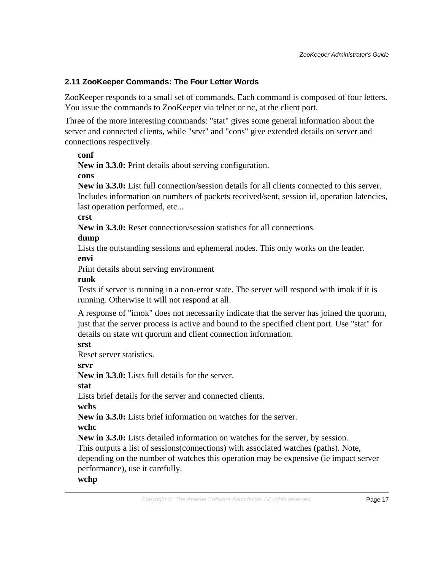# <span id="page-16-0"></span>**2.11 ZooKeeper Commands: The Four Letter Words**

ZooKeeper responds to a small set of commands. Each command is composed of four letters. You issue the commands to ZooKeeper via telnet or nc, at the client port.

Three of the more interesting commands: "stat" gives some general information about the server and connected clients, while "srvr" and "cons" give extended details on server and connections respectively.

#### **conf**

**New in 3.3.0:** Print details about serving configuration.

#### **cons**

**New in 3.3.0:** List full connection/session details for all clients connected to this server. Includes information on numbers of packets received/sent, session id, operation latencies, last operation performed, etc...

**crst**

**New in 3.3.0:** Reset connection/session statistics for all connections.

# **dump**

Lists the outstanding sessions and ephemeral nodes. This only works on the leader. **envi**

Print details about serving environment

# **ruok**

Tests if server is running in a non-error state. The server will respond with imok if it is running. Otherwise it will not respond at all.

A response of "imok" does not necessarily indicate that the server has joined the quorum, just that the server process is active and bound to the specified client port. Use "stat" for details on state wrt quorum and client connection information.

# **srst**

Reset server statistics.

**srvr**

**New in 3.3.0:** Lists full details for the server.

**stat**

Lists brief details for the server and connected clients.

**wchs**

**New in 3.3.0:** Lists brief information on watches for the server.

**wchc**

**New in 3.3.0:** Lists detailed information on watches for the server, by session.

This outputs a list of sessions(connections) with associated watches (paths). Note,

depending on the number of watches this operation may be expensive (ie impact server performance), use it carefully.

# **wchp**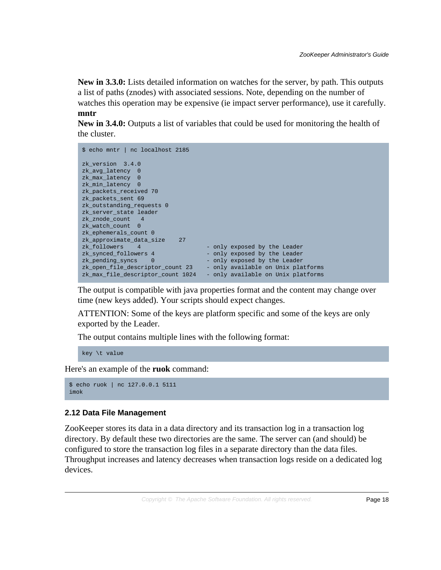**New in 3.3.0:** Lists detailed information on watches for the server, by path. This outputs a list of paths (znodes) with associated sessions. Note, depending on the number of watches this operation may be expensive (ie impact server performance), use it carefully. **mntr**

**New in 3.4.0:** Outputs a list of variables that could be used for monitoring the health of the cluster.

| \$ echo mntr   nc localhost 2185  |                                    |
|-----------------------------------|------------------------------------|
| zk version 3.4.0                  |                                    |
| zk avg latency 0                  |                                    |
| zk_max_latency 0                  |                                    |
| zk min latency 0                  |                                    |
| zk packets received 70            |                                    |
| zk_packets_sent 69                |                                    |
| zk outstanding requests 0         |                                    |
| zk server state leader            |                                    |
| zk znode count 4                  |                                    |
| zk watch count 0                  |                                    |
| zk ephemerals count 0             |                                    |
| 27<br>zk approximate data size    |                                    |
| zk followers<br>$\sim$ 4          | - only exposed by the Leader       |
| zk_synced_followers 4             | - only exposed by the Leader       |
| zk pending syncs<br>$\Omega$      | - only exposed by the Leader       |
| zk_open_file_descriptor_count 23  | - only available on Unix platforms |
| zk_max_file_descriptor_count 1024 | - only available on Unix platforms |

The output is compatible with java properties format and the content may change over time (new keys added). Your scripts should expect changes.

ATTENTION: Some of the keys are platform specific and some of the keys are only exported by the Leader.

The output contains multiple lines with the following format:

key \t value

Here's an example of the **ruok** command:

```
$ echo ruok | nc 127.0.0.1 5111
imok
```
#### <span id="page-17-0"></span>**2.12 Data File Management**

ZooKeeper stores its data in a data directory and its transaction log in a transaction log directory. By default these two directories are the same. The server can (and should) be configured to store the transaction log files in a separate directory than the data files. Throughput increases and latency decreases when transaction logs reside on a dedicated log devices.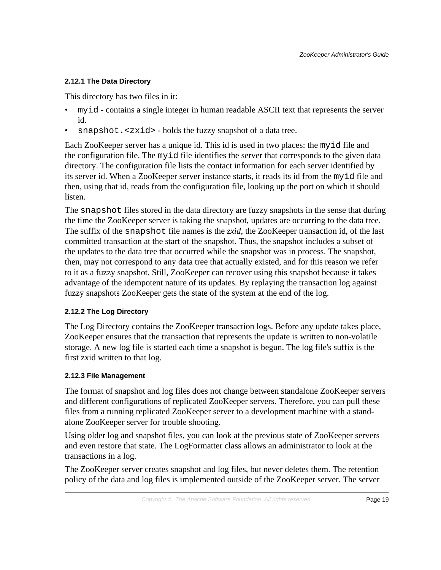#### **2.12.1 The Data Directory**

This directory has two files in it:

- myid contains a single integer in human readable ASCII text that represents the server id.
- snapshot.<zxid> holds the fuzzy snapshot of a data tree.

Each ZooKeeper server has a unique id. This id is used in two places: the myid file and the configuration file. The myid file identifies the server that corresponds to the given data directory. The configuration file lists the contact information for each server identified by its server id. When a ZooKeeper server instance starts, it reads its id from the myid file and then, using that id, reads from the configuration file, looking up the port on which it should listen.

The snapshot files stored in the data directory are fuzzy snapshots in the sense that during the time the ZooKeeper server is taking the snapshot, updates are occurring to the data tree. The suffix of the snapshot file names is the *zxid*, the ZooKeeper transaction id, of the last committed transaction at the start of the snapshot. Thus, the snapshot includes a subset of the updates to the data tree that occurred while the snapshot was in process. The snapshot, then, may not correspond to any data tree that actually existed, and for this reason we refer to it as a fuzzy snapshot. Still, ZooKeeper can recover using this snapshot because it takes advantage of the idempotent nature of its updates. By replaying the transaction log against fuzzy snapshots ZooKeeper gets the state of the system at the end of the log.

#### **2.12.2 The Log Directory**

The Log Directory contains the ZooKeeper transaction logs. Before any update takes place, ZooKeeper ensures that the transaction that represents the update is written to non-volatile storage. A new log file is started each time a snapshot is begun. The log file's suffix is the first zxid written to that log.

#### **2.12.3 File Management**

The format of snapshot and log files does not change between standalone ZooKeeper servers and different configurations of replicated ZooKeeper servers. Therefore, you can pull these files from a running replicated ZooKeeper server to a development machine with a standalone ZooKeeper server for trouble shooting.

Using older log and snapshot files, you can look at the previous state of ZooKeeper servers and even restore that state. The LogFormatter class allows an administrator to look at the transactions in a log.

The ZooKeeper server creates snapshot and log files, but never deletes them. The retention policy of the data and log files is implemented outside of the ZooKeeper server. The server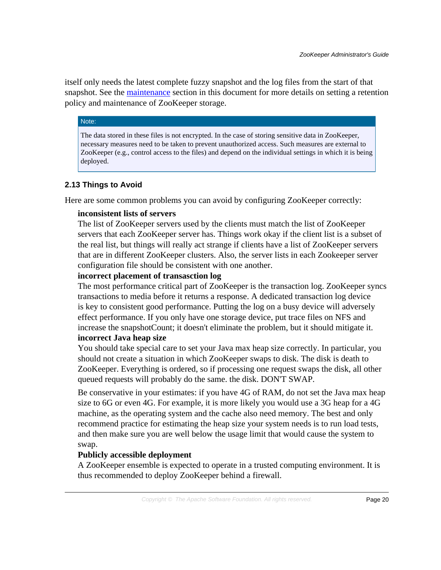itself only needs the latest complete fuzzy snapshot and the log files from the start of that snapshot. See the [maintenance](#page-6-1) section in this document for more details on setting a retention policy and maintenance of ZooKeeper storage.

#### Note:

The data stored in these files is not encrypted. In the case of storing sensitive data in ZooKeeper, necessary measures need to be taken to prevent unauthorized access. Such measures are external to ZooKeeper (e.g., control access to the files) and depend on the individual settings in which it is being deployed.

# <span id="page-19-0"></span>**2.13 Things to Avoid**

Here are some common problems you can avoid by configuring ZooKeeper correctly:

#### **inconsistent lists of servers**

The list of ZooKeeper servers used by the clients must match the list of ZooKeeper servers that each ZooKeeper server has. Things work okay if the client list is a subset of the real list, but things will really act strange if clients have a list of ZooKeeper servers that are in different ZooKeeper clusters. Also, the server lists in each Zookeeper server configuration file should be consistent with one another.

#### **incorrect placement of transasction log**

The most performance critical part of ZooKeeper is the transaction log. ZooKeeper syncs transactions to media before it returns a response. A dedicated transaction log device is key to consistent good performance. Putting the log on a busy device will adversely effect performance. If you only have one storage device, put trace files on NFS and increase the snapshotCount; it doesn't eliminate the problem, but it should mitigate it. **incorrect Java heap size**

# You should take special care to set your Java max heap size correctly. In particular, you should not create a situation in which ZooKeeper swaps to disk. The disk is death to ZooKeeper. Everything is ordered, so if processing one request swaps the disk, all other queued requests will probably do the same. the disk. DON'T SWAP.

Be conservative in your estimates: if you have 4G of RAM, do not set the Java max heap size to 6G or even 4G. For example, it is more likely you would use a 3G heap for a 4G machine, as the operating system and the cache also need memory. The best and only recommend practice for estimating the heap size your system needs is to run load tests, and then make sure you are well below the usage limit that would cause the system to swap.

#### **Publicly accessible deployment**

A ZooKeeper ensemble is expected to operate in a trusted computing environment. It is thus recommended to deploy ZooKeeper behind a firewall.